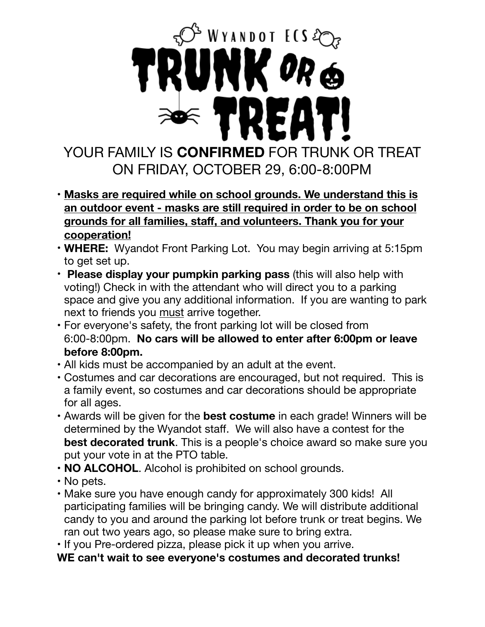

- **• Masks are required while on school grounds. We understand this is an outdoor event - masks are still required in order to be on school grounds for all families, staff, and volunteers. Thank you for your cooperation!**
- **WHERE:** Wyandot Front Parking Lot. You may begin arriving at 5:15pm to get set up.
- **Please display your pumpkin parking pass** (this will also help with voting!) Check in with the attendant who will direct you to a parking space and give you any additional information. If you are wanting to park next to friends you must arrive together.
- For everyone's safety, the front parking lot will be closed from 6:00-8:00pm. **No cars will be allowed to enter after 6:00pm or leave before 8:00pm.**
- All kids must be accompanied by an adult at the event.
- Costumes and car decorations are encouraged, but not required. This is a family event, so costumes and car decorations should be appropriate for all ages.
- Awards will be given for the **best costume** in each grade! Winners will be determined by the Wyandot staff. We will also have a contest for the **best decorated trunk**. This is a people's choice award so make sure you put your vote in at the PTO table.
- **NO ALCOHOL**. Alcohol is prohibited on school grounds.
- No pets.
- Make sure you have enough candy for approximately 300 kids! All participating families will be bringing candy. We will distribute additional candy to you and around the parking lot before trunk or treat begins. We ran out two years ago, so please make sure to bring extra.
- If you Pre-ordered pizza, please pick it up when you arrive.

#### **WE can't wait to see everyone's costumes and decorated trunks!**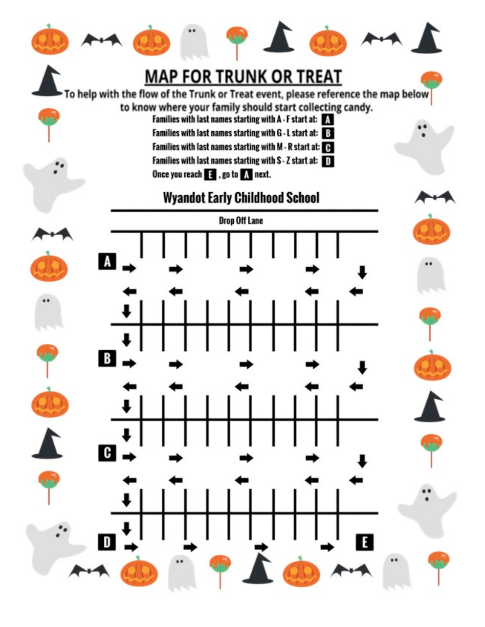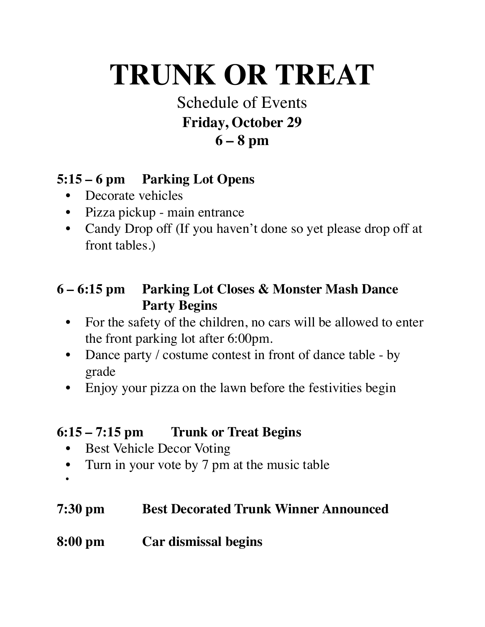# **TRUNK OR TREAT**

## Schedule of Events **Friday, October 29 6 – 8 pm**

### **5:15 – 6 pm Parking Lot Opens**

- Decorate vehicles
- Pizza pickup main entrance
- Candy Drop off (If you haven't done so yet please drop off at front tables.)

#### **6 – 6:15 pm Parking Lot Closes & Monster Mash Dance Party Begins**

- For the safety of the children, no cars will be allowed to enter the front parking lot after 6:00pm.
- Dance party / costume contest in front of dance table by grade
- Enjoy your pizza on the lawn before the festivities begin

#### **6:15 – 7:15 pm Trunk or Treat Begins**

- Best Vehicle Decor Voting
- Turn in your vote by 7 pm at the music table
- 

#### **7:30 pm Best Decorated Trunk Winner Announced**

#### **8:00 pm Car dismissal begins**